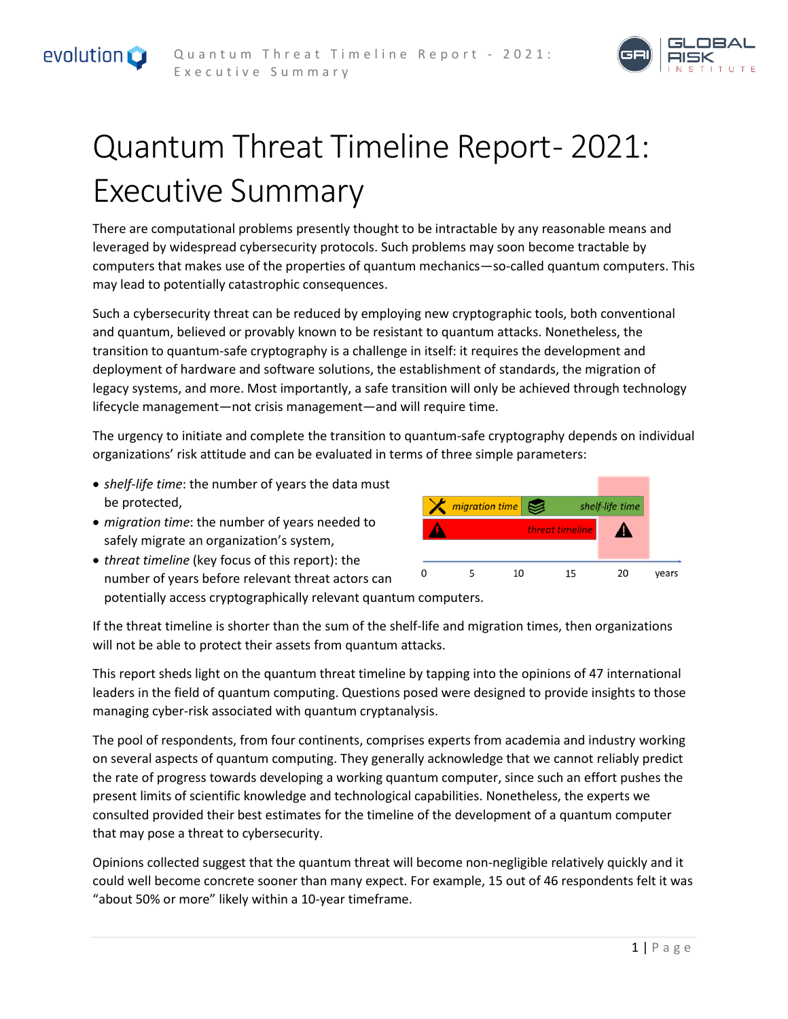



## Quantum Threat Timeline Report- 2021: Executive Summary

There are computational problems presently thought to be intractable by any reasonable means and leveraged by widespread cybersecurity protocols. Such problems may soon become tractable by computers that makes use of the properties of quantum mechanics—so-called quantum computers. This may lead to potentially catastrophic consequences.

Such a cybersecurity threat can be reduced by employing new cryptographic tools, both conventional and quantum, believed or provably known to be resistant to quantum attacks. Nonetheless, the transition to quantum-safe cryptography is a challenge in itself: it requires the development and deployment of hardware and software solutions, the establishment of standards, the migration of legacy systems, and more. Most importantly, a safe transition will only be achieved through technology lifecycle management—not crisis management—and will require time.

The urgency to initiate and complete the transition to quantum-safe cryptography depends on individual organizations' risk attitude and can be evaluated in terms of three simple parameters:

- *shelf-life time*: the number of years the data must be protected,
- *migration time*: the number of years needed to safely migrate an organization's system,
- *threat timeline* (key focus of this report): the  $\mathbf 0$ number of years before relevant threat actors can potentially access cryptographically relevant quantum computers.

If the threat timeline is shorter than the sum of the shelf-life and migration times, then organizations will not be able to protect their assets from quantum attacks.

This report sheds light on the quantum threat timeline by tapping into the opinions of 47 international leaders in the field of quantum computing. Questions posed were designed to provide insights to those managing cyber-risk associated with quantum cryptanalysis.

The pool of respondents, from four continents, comprises experts from academia and industry working on several aspects of quantum computing. They generally acknowledge that we cannot reliably predict the rate of progress towards developing a working quantum computer, since such an effort pushes the present limits of scientific knowledge and technological capabilities. Nonetheless, the experts we consulted provided their best estimates for the timeline of the development of a quantum computer that may pose a threat to cybersecurity.

Opinions collected suggest that the quantum threat will become non-negligible relatively quickly and it could well become concrete sooner than many expect. For example, 15 out of 46 respondents felt it was "about 50% or more" likely within a 10-year timeframe.